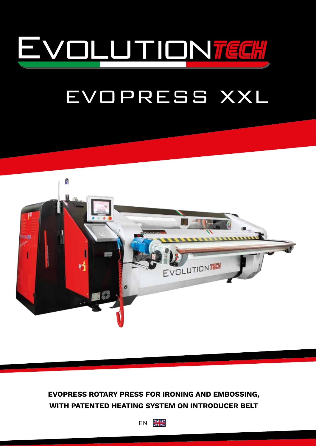

# EVOPRESS XXL



# **EVOPRESS ROTARY PRESS FOR IRONING AND EMBOSSING, WITH PATENTED HEATING SYSTEM ON INTRODUCER BELT**

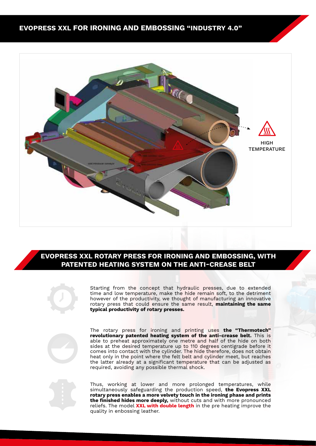

### **EVOPRESS XXL ROTARY PRESS FOR IRONING AND EMBOSSING, WITH PATENTED HEATING SYSTEM ON THE ANTI-CREASE BELT**



Starting from the concept that hydraulic presses, due to extended time and low temperature, make the hide remain soft, to the detriment however of the productivity, we thought of manufacturing an innovative rotary press that could ensure the same result, **maintaining the same typical productivity of rotary presses.**



The rotary press for ironing and printing uses **the "Thermotech" revolutionary patented heating system of the anti-crease belt.** This is able to preheat approximately one metre and half of the hide on both sides at the desired temperature up to 110 degrees centigrade before it comes into contact with the cylinder. The hide therefore, does not obtain heat only in the point where the felt belt and cylinder meet, but reaches the latter already at a significant temperature that can be adjusted as required, avoiding any possible thermal shock.

Thus, working at lower and more prolonged temperatures, while simultaneously safeguarding the production speed, **the Evopress XXL rotary press enables a more velvety touch in the ironing phase and prints the finished hides more deeply,** without cuts and with more pronounced reliefs. The model **XXL with double length** in the pre heating improve the quality in enbossing leather.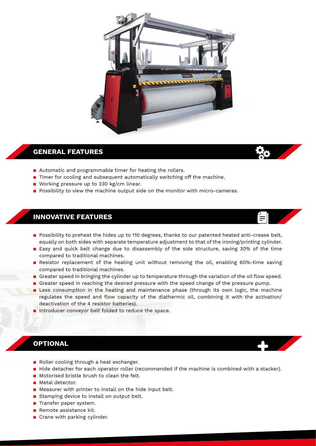

### **GENERAL FEATURES**

- Automatic and programmable timer for heating the rollers.
- Timer for cooling and subsequent automatically switching off the machine.
- **■** Working pressure up to 330 kg/cm linear.
- **Possibility to view the machine output side on the monitor with micro-cameras.**

### **INNOVATIVE FEATURES**

■ Possibility to preheat the hides up to 110 degrees, thanks to our patented heated anti-crease belt, equally on both sides with separate temperature adjustment to that of the ironing/printing cylinder.

 $\equiv$ 

- Easy and quick belt change due to disassembly of the side structure, saving 30% of the time compared to traditional machines.
- **E** Resistor replacement of the heating unit without removing the oil, enabling 60%-time saving compared to traditional machines.
- **Example 1** Greater speed in bringing the cylinder up to temperature through the variation of the oil flow speed.
- **Example 2** Greater speed in reaching the desired pressure with the speed change of the pressure pump.
- **E** Less consumption in the heating and maintenance phase (through its own logic, the machine regulates the speed and flow capacity of the diathermic oil, combining it with the activation/ deactivation of the 4 resistor batteries).
- Introducer conveyor belt folded to reduce the space.

### **OPTIONAL**

- Roller cooling through a heat exchanger.
- Hide detacher for each operator roller (recommended if the machine is combined with a stacker).
- Motorised bristle brush to clean the felt.
- Metal detector.
- Measurer with printer to install on the hide input belt.
- Stamping device to install on output belt.
- **Transfer paper system.**
- $\blacksquare$  Remote assistance kit.
- $\blacksquare$  Crane with parking cylinder.